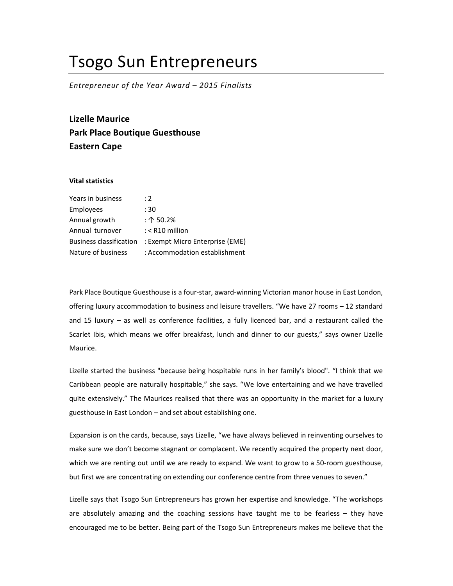## Tsogo Sun Entrepreneurs

Entrepreneur of the Year Award – 2015 Finalists

Lizelle Maurice Park Place Boutique Guesthouse Eastern Cape

## Vital statistics

| Years in business              | : 2                             |
|--------------------------------|---------------------------------|
| Employees                      | : 30                            |
| Annual growth                  | : 个 50.2%                       |
| Annual turnover                | $:$ < R10 million               |
| <b>Business classification</b> | : Exempt Micro Enterprise (EME) |
| Nature of business             | : Accommodation establishment   |

Park Place Boutique Guesthouse is a four-star, award-winning Victorian manor house in East London, offering luxury accommodation to business and leisure travellers. "We have 27 rooms – 12 standard and 15 luxury – as well as conference facilities, a fully licenced bar, and a restaurant called the Scarlet Ibis, which means we offer breakfast, lunch and dinner to our guests," says owner Lizelle Maurice.

Lizelle started the business "because being hospitable runs in her family's blood". "I think that we Caribbean people are naturally hospitable," she says. "We love entertaining and we have travelled quite extensively." The Maurices realised that there was an opportunity in the market for a luxury guesthouse in East London – and set about establishing one.

Expansion is on the cards, because, says Lizelle, "we have always believed in reinventing ourselves to make sure we don't become stagnant or complacent. We recently acquired the property next door, which we are renting out until we are ready to expand. We want to grow to a 50-room guesthouse, but first we are concentrating on extending our conference centre from three venues to seven."

Lizelle says that Tsogo Sun Entrepreneurs has grown her expertise and knowledge. "The workshops are absolutely amazing and the coaching sessions have taught me to be fearless – they have encouraged me to be better. Being part of the Tsogo Sun Entrepreneurs makes me believe that the